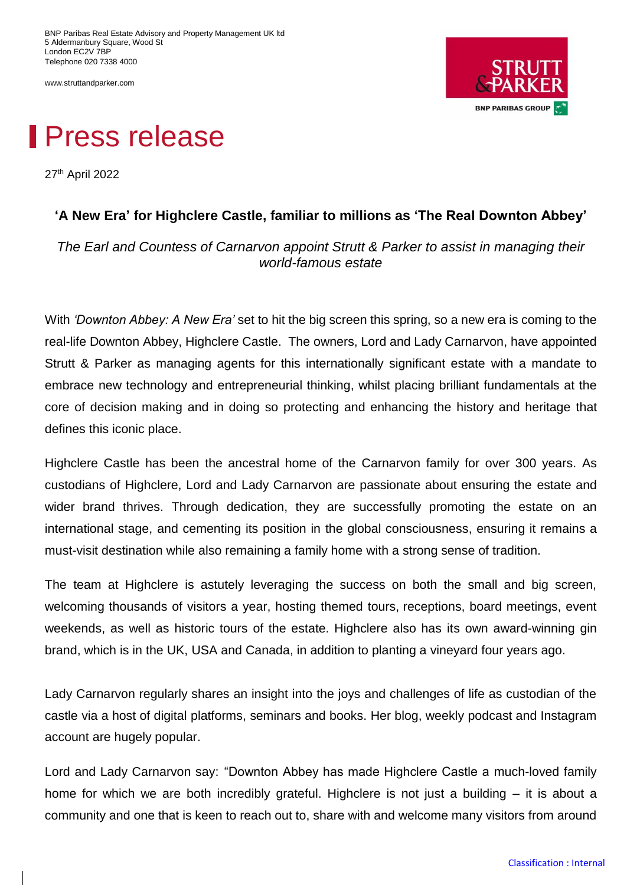BNP Paribas Real Estate Advisory and Property Management UK ltd 5 Aldermanbury Square, Wood St London EC2V 7RP Telephone 020 7338 4000

www.struttandparker.com



## Press release

27th April 2022

## **'A New Era' for Highclere Castle, familiar to millions as 'The Real Downton Abbey'**

*The Earl and Countess of Carnarvon appoint Strutt & Parker to assist in managing their world-famous estate*

With *'Downton Abbey: A New Era'* set to hit the big screen this spring, so a new era is coming to the real-life Downton Abbey, Highclere Castle. The owners, Lord and Lady Carnarvon, have appointed Strutt & Parker as managing agents for this internationally significant estate with a mandate to embrace new technology and entrepreneurial thinking, whilst placing brilliant fundamentals at the core of decision making and in doing so protecting and enhancing the history and heritage that defines this iconic place.

Highclere Castle has been the ancestral home of the Carnarvon family for over 300 years. As custodians of Highclere, Lord and Lady Carnarvon are passionate about ensuring the estate and wider brand thrives. Through dedication, they are successfully promoting the estate on an international stage, and cementing its position in the global consciousness, ensuring it remains a must-visit destination while also remaining a family home with a strong sense of tradition.

The team at Highclere is astutely leveraging the success on both the small and big screen, welcoming thousands of visitors a year, hosting themed tours, receptions, board meetings, event weekends, as well as historic tours of the estate. Highclere also has its own award-winning gin brand, which is in the UK, USA and Canada, in addition to planting a vineyard four years ago.

Lady Carnarvon regularly shares an insight into the joys and challenges of life as custodian of the castle via a host of digital platforms, seminars and books. Her blog, weekly podcast and Instagram account are hugely popular.

Lord and Lady Carnarvon say: "Downton Abbey has made Highclere Castle a much-loved family home for which we are both incredibly grateful. Highclere is not just a building – it is about a community and one that is keen to reach out to, share with and welcome many visitors from around